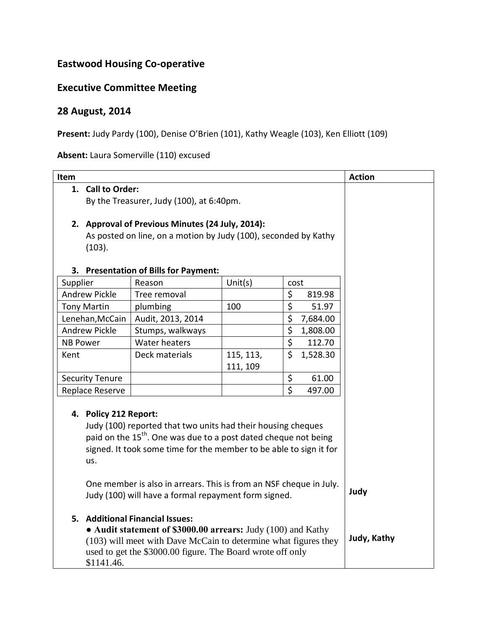## **Eastwood Housing Co-operative**

## **Executive Committee Meeting**

## **28 August, 2014**

Present: Judy Pardy (100), Denise O'Brien (101), Kathy Weagle (103), Ken Elliott (109)

**Absent:** Laura Somerville (110) excused

| Item                                                                                                                                                                                                                                              |                                                                                                                                                                                                                                                |                                       |                       |                         |          | <b>Action</b> |  |
|---------------------------------------------------------------------------------------------------------------------------------------------------------------------------------------------------------------------------------------------------|------------------------------------------------------------------------------------------------------------------------------------------------------------------------------------------------------------------------------------------------|---------------------------------------|-----------------------|-------------------------|----------|---------------|--|
|                                                                                                                                                                                                                                                   | 1. Call to Order:                                                                                                                                                                                                                              |                                       |                       |                         |          |               |  |
|                                                                                                                                                                                                                                                   | By the Treasurer, Judy (100), at 6:40pm.                                                                                                                                                                                                       |                                       |                       |                         |          |               |  |
|                                                                                                                                                                                                                                                   |                                                                                                                                                                                                                                                |                                       |                       |                         |          |               |  |
|                                                                                                                                                                                                                                                   | 2. Approval of Previous Minutes (24 July, 2014):                                                                                                                                                                                               |                                       |                       |                         |          |               |  |
|                                                                                                                                                                                                                                                   | As posted on line, on a motion by Judy (100), seconded by Kathy                                                                                                                                                                                |                                       |                       |                         |          |               |  |
|                                                                                                                                                                                                                                                   | (103).                                                                                                                                                                                                                                         |                                       |                       |                         |          |               |  |
|                                                                                                                                                                                                                                                   |                                                                                                                                                                                                                                                |                                       |                       |                         |          |               |  |
|                                                                                                                                                                                                                                                   |                                                                                                                                                                                                                                                | 3. Presentation of Bills for Payment: |                       |                         |          |               |  |
| Supplier                                                                                                                                                                                                                                          |                                                                                                                                                                                                                                                | Reason<br>Tree removal                | Unit(s)               | cost<br>\$              | 819.98   |               |  |
| <b>Andrew Pickle</b>                                                                                                                                                                                                                              |                                                                                                                                                                                                                                                |                                       | 100                   | \$                      |          |               |  |
| <b>Tony Martin</b>                                                                                                                                                                                                                                |                                                                                                                                                                                                                                                | plumbing                              |                       | \$                      | 51.97    |               |  |
| Lenehan, McCain                                                                                                                                                                                                                                   |                                                                                                                                                                                                                                                | Audit, 2013, 2014                     |                       | $\overline{\varsigma}$  | 7,684.00 |               |  |
| <b>Andrew Pickle</b><br><b>NB Power</b>                                                                                                                                                                                                           |                                                                                                                                                                                                                                                | Stumps, walkways<br>Water heaters     |                       | \$                      | 1,808.00 |               |  |
|                                                                                                                                                                                                                                                   |                                                                                                                                                                                                                                                |                                       |                       | $\zeta$                 | 112.70   |               |  |
| Kent                                                                                                                                                                                                                                              |                                                                                                                                                                                                                                                | Deck materials                        | 115, 113,<br>111, 109 |                         | 1,528.30 |               |  |
| <b>Security Tenure</b>                                                                                                                                                                                                                            |                                                                                                                                                                                                                                                |                                       |                       | \$                      | 61.00    |               |  |
| Replace Reserve                                                                                                                                                                                                                                   |                                                                                                                                                                                                                                                |                                       |                       | $\overline{\mathsf{S}}$ | 497.00   |               |  |
| 4. Policy 212 Report:<br>Judy (100) reported that two units had their housing cheques<br>paid on the 15 <sup>th</sup> . One was due to a post dated cheque not being<br>signed. It took some time for the member to be able to sign it for<br>us. |                                                                                                                                                                                                                                                |                                       |                       |                         |          |               |  |
|                                                                                                                                                                                                                                                   | One member is also in arrears. This is from an NSF cheque in July.<br>Judy<br>Judy (100) will have a formal repayment form signed.                                                                                                             |                                       |                       |                         |          |               |  |
|                                                                                                                                                                                                                                                   | 5. Additional Financial Issues:<br>• Audit statement of \$3000.00 arrears: Judy (100) and Kathy<br>(103) will meet with Dave McCain to determine what figures they<br>used to get the \$3000.00 figure. The Board wrote off only<br>\$1141.46. | Judy, Kathy                           |                       |                         |          |               |  |